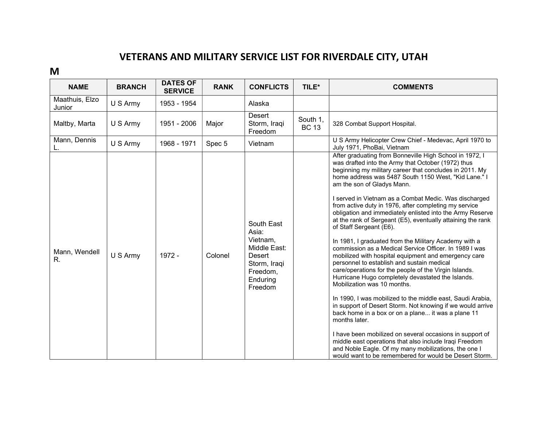## VETERANS AND MILITARY SERVICE LIST FOR RIVERDALE CITY, UTAH

M

| <b>NAME</b>              | <b>BRANCH</b> | <b>DATES OF</b><br><b>SERVICE</b> | <b>RANK</b> | <b>CONFLICTS</b>                                                                                                    | TILE*                    | <b>COMMENTS</b>                                                                                                                                                                                                                                                                                                                                                                                                                                                                                                                                                                                                                                                                                                                                                                                                                                                                                                                                                                                                                                                                                                                                                                                                                                                                                                                                          |
|--------------------------|---------------|-----------------------------------|-------------|---------------------------------------------------------------------------------------------------------------------|--------------------------|----------------------------------------------------------------------------------------------------------------------------------------------------------------------------------------------------------------------------------------------------------------------------------------------------------------------------------------------------------------------------------------------------------------------------------------------------------------------------------------------------------------------------------------------------------------------------------------------------------------------------------------------------------------------------------------------------------------------------------------------------------------------------------------------------------------------------------------------------------------------------------------------------------------------------------------------------------------------------------------------------------------------------------------------------------------------------------------------------------------------------------------------------------------------------------------------------------------------------------------------------------------------------------------------------------------------------------------------------------|
| Maathuis, Elzo<br>Junior | U S Army      | 1953 - 1954                       |             | Alaska                                                                                                              |                          |                                                                                                                                                                                                                                                                                                                                                                                                                                                                                                                                                                                                                                                                                                                                                                                                                                                                                                                                                                                                                                                                                                                                                                                                                                                                                                                                                          |
| Maltby, Marta            | U S Army      | 1951 - 2006                       | Major       | Desert<br>Storm, Iraqi<br>Freedom                                                                                   | South 1,<br><b>BC 13</b> | 328 Combat Support Hospital.                                                                                                                                                                                                                                                                                                                                                                                                                                                                                                                                                                                                                                                                                                                                                                                                                                                                                                                                                                                                                                                                                                                                                                                                                                                                                                                             |
| Mann, Dennis             | U S Army      | 1968 - 1971                       | Spec 5      | Vietnam                                                                                                             |                          | U S Army Helicopter Crew Chief - Medevac, April 1970 to<br>July 1971, PhoBai, Vietnam                                                                                                                                                                                                                                                                                                                                                                                                                                                                                                                                                                                                                                                                                                                                                                                                                                                                                                                                                                                                                                                                                                                                                                                                                                                                    |
| Mann, Wendell<br>R.      | U S Army      | 1972 -                            | Colonel     | South East<br>Asia:<br>Vietnam,<br>Middle East:<br><b>Desert</b><br>Storm, Iraqi<br>Freedom,<br>Enduring<br>Freedom |                          | After graduating from Bonneville High School in 1972, I<br>was drafted into the Army that October (1972) thus<br>beginning my military career that concludes in 2011. My<br>home address was 5487 South 1150 West, "Kid Lane." I<br>am the son of Gladys Mann.<br>I served in Vietnam as a Combat Medic. Was discharged<br>from active duty in 1976, after completing my service<br>obligation and immediately enlisted into the Army Reserve<br>at the rank of Sergeant (E5), eventually attaining the rank<br>of Staff Sergeant (E6).<br>In 1981, I graduated from the Military Academy with a<br>commission as a Medical Service Officer. In 1989 I was<br>mobilized with hospital equipment and emergency care<br>personnel to establish and sustain medical<br>care/operations for the people of the Virgin Islands.<br>Hurricane Hugo completely devastated the Islands.<br>Mobilization was 10 months.<br>In 1990, I was mobilized to the middle east, Saudi Arabia,<br>in support of Desert Storm. Not knowing if we would arrive<br>back home in a box or on a plane it was a plane 11<br>months later.<br>I have been mobilized on several occasions in support of<br>middle east operations that also include Iraqi Freedom<br>and Noble Eagle. Of my many mobilizations, the one I<br>would want to be remembered for would be Desert Storm. |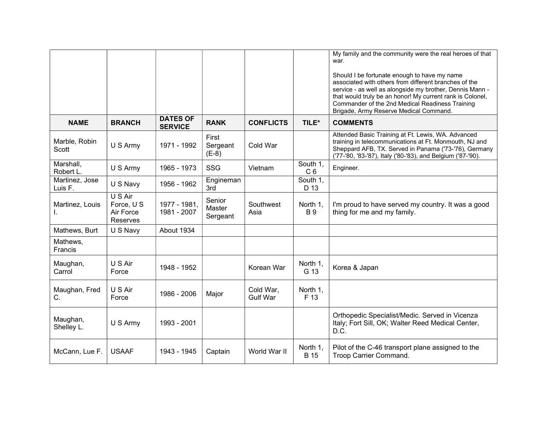|                           |                                                |                                   |                              |                              |                            | My family and the community were the real heroes of that<br>war.<br>Should I be fortunate enough to have my name<br>associated with others from different branches of the<br>service - as well as alongside my brother, Dennis Mann -<br>that would truly be an honor! My current rank is Colonel,<br>Commander of the 2nd Medical Readiness Training<br>Brigade, Army Reserve Medical Command. |
|---------------------------|------------------------------------------------|-----------------------------------|------------------------------|------------------------------|----------------------------|-------------------------------------------------------------------------------------------------------------------------------------------------------------------------------------------------------------------------------------------------------------------------------------------------------------------------------------------------------------------------------------------------|
| <b>NAME</b>               | <b>BRANCH</b>                                  | <b>DATES OF</b><br><b>SERVICE</b> | <b>RANK</b>                  | <b>CONFLICTS</b>             | TILE*                      | <b>COMMENTS</b>                                                                                                                                                                                                                                                                                                                                                                                 |
| Marble, Robin<br>Scott    | U S Army                                       | 1971 - 1992                       | First<br>Sergeant<br>$(E-8)$ | Cold War                     |                            | Attended Basic Training at Ft. Lewis, WA. Advanced<br>training in telecommunications at Ft. Monmouth, NJ and<br>Sheppard AFB, TX. Served in Panama ('73-'76), Germany<br>('77-'80, '83-'87), Italy ('80-'83), and Belgium ('87-'90).                                                                                                                                                            |
| Marshall,<br>Robert L.    | U S Army                                       | 1965 - 1973                       | SSG                          | Vietnam                      | South 1,<br>C <sub>6</sub> | Engineer.                                                                                                                                                                                                                                                                                                                                                                                       |
| Martinez, Jose<br>Luis F. | U S Navy                                       | 1956 - 1962                       | Engineman<br>3rd             |                              | South 1,<br>D 13           |                                                                                                                                                                                                                                                                                                                                                                                                 |
| Martinez, Louis<br>I.     | U S Air<br>Force, U S<br>Air Force<br>Reserves | 1977 - 1981,<br>1981 - 2007       | Senior<br>Master<br>Sergeant | Southwest<br>Asia            | North 1,<br><b>B</b> 9     | I'm proud to have served my country. It was a good<br>thing for me and my family.                                                                                                                                                                                                                                                                                                               |
| Mathews, Burt             | U S Navy                                       | About 1934                        |                              |                              |                            |                                                                                                                                                                                                                                                                                                                                                                                                 |
| Mathews,<br>Francis       |                                                |                                   |                              |                              |                            |                                                                                                                                                                                                                                                                                                                                                                                                 |
| Maughan,<br>Carrol        | U S Air<br>Force                               | 1948 - 1952                       |                              | Korean War                   | North 1,<br>G 13           | Korea & Japan                                                                                                                                                                                                                                                                                                                                                                                   |
| Maughan, Fred<br>C.       | U S Air<br>Force                               | 1986 - 2006                       | Major                        | Cold War,<br><b>Gulf War</b> | North 1,<br>F 13           |                                                                                                                                                                                                                                                                                                                                                                                                 |
| Maughan,<br>Shelley L.    | U S Army                                       | 1993 - 2001                       |                              |                              |                            | Orthopedic Specialist/Medic. Served in Vicenza<br>Italy; Fort Sill, OK; Walter Reed Medical Center,<br>D.C.                                                                                                                                                                                                                                                                                     |
| McCann, Lue F.            | <b>USAAF</b>                                   | 1943 - 1945                       | Captain                      | World War II                 | North 1,<br><b>B</b> 15    | Pilot of the C-46 transport plane assigned to the<br>Troop Carrier Command.                                                                                                                                                                                                                                                                                                                     |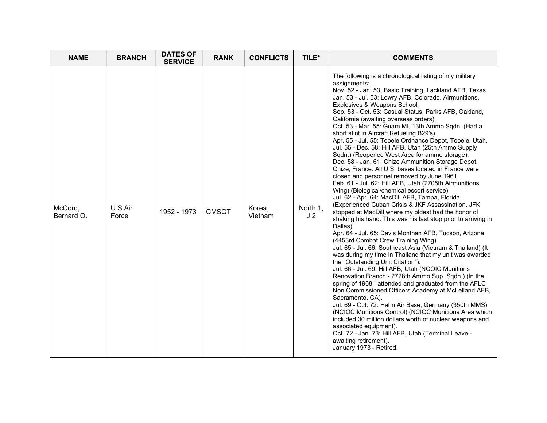| <b>NAME</b>           | <b>BRANCH</b>    | <b>DATES OF</b><br><b>SERVICE</b> | <b>RANK</b>  | <b>CONFLICTS</b>  | TILE*                      | <b>COMMENTS</b>                                                                                                                                                                                                                                                                                                                                                                                                                                                                                                                                                                                                                                                                                                                                                                                                                                                                                                                                                                                                                                                                                                                                                                                                                                                                                                                                                                                                                                                                                                                                                                                                                                                                                                                                                                                                                                                                                                                                          |
|-----------------------|------------------|-----------------------------------|--------------|-------------------|----------------------------|----------------------------------------------------------------------------------------------------------------------------------------------------------------------------------------------------------------------------------------------------------------------------------------------------------------------------------------------------------------------------------------------------------------------------------------------------------------------------------------------------------------------------------------------------------------------------------------------------------------------------------------------------------------------------------------------------------------------------------------------------------------------------------------------------------------------------------------------------------------------------------------------------------------------------------------------------------------------------------------------------------------------------------------------------------------------------------------------------------------------------------------------------------------------------------------------------------------------------------------------------------------------------------------------------------------------------------------------------------------------------------------------------------------------------------------------------------------------------------------------------------------------------------------------------------------------------------------------------------------------------------------------------------------------------------------------------------------------------------------------------------------------------------------------------------------------------------------------------------------------------------------------------------------------------------------------------------|
| McCord,<br>Bernard O. | U S Air<br>Force | 1952 - 1973                       | <b>CMSGT</b> | Korea,<br>Vietnam | North 1,<br>J <sub>2</sub> | The following is a chronological listing of my military<br>assignments:<br>Nov. 52 - Jan. 53: Basic Training, Lackland AFB, Texas.<br>Jan. 53 - Jul. 53: Lowry AFB, Colorado. Airmunitions,<br>Explosives & Weapons School.<br>Sep. 53 - Oct. 53: Casual Status, Parks AFB, Oakland,<br>California (awaiting overseas orders).<br>Oct. 53 - Mar. 55: Guam MI, 13th Ammo Sqdn. (Had a<br>short stint in Aircraft Refueling B29's).<br>Apr. 55 - Jul. 55: Tooele Ordnance Depot, Tooele, Utah.<br>Jul. 55 - Dec. 58: Hill AFB, Utah (25th Ammo Supply<br>Sqdn.) (Reopened West Area for ammo storage).<br>Dec. 58 - Jan. 61: Chize Ammunition Storage Depot,<br>Chize, France. All U.S. bases located in France were<br>closed and personnel removed by June 1961.<br>Feb. 61 - Jul. 62: Hill AFB, Utah (2705th Airmunitions<br>Wing) (Biological/chemical escort service).<br>Jul. 62 - Apr. 64: MacDill AFB, Tampa, Florida.<br>(Experienced Cuban Crisis & JKF Assassination. JFK<br>stopped at MacDill where my oldest had the honor of<br>shaking his hand. This was his last stop prior to arriving in<br>Dallas).<br>Apr. 64 - Jul. 65: Davis Monthan AFB, Tucson, Arizona<br>(4453rd Combat Crew Training Wing).<br>Jul. 65 - Jul. 66: Southeast Asia (Vietnam & Thailand) (It<br>was during my time in Thailand that my unit was awarded<br>the "Outstanding Unit Citation").<br>Jul. 66 - Jul. 69: Hill AFB, Utah (NCOIC Munitions<br>Renovation Branch - 2728th Ammo Sup. Sqdn.) (In the<br>spring of 1968 I attended and graduated from the AFLC<br>Non Commissioned Officers Academy at McLelland AFB,<br>Sacramento, CA).<br>Jul. 69 - Oct. 72: Hahn Air Base, Germany (350th MMS)<br>(NCIOC Munitions Control) (NCIOC Munitions Area which<br>included 30 million dollars worth of nuclear weapons and<br>associated equipment).<br>Oct. 72 - Jan. 73: Hill AFB, Utah (Terminal Leave -<br>awaiting retirement).<br>January 1973 - Retired. |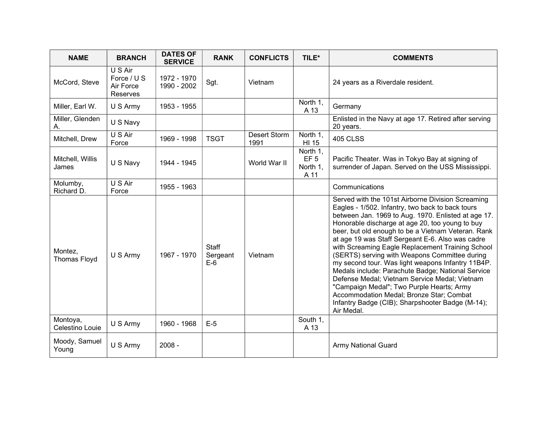| <b>NAME</b>                    | <b>BRANCH</b>                                   | <b>DATES OF</b><br><b>SERVICE</b> | <b>RANK</b>                       | <b>CONFLICTS</b>     | TILE*                                           | <b>COMMENTS</b>                                                                                                                                                                                                                                                                                                                                                                                                                                                                                                                                                                                                                                                                                                                                      |
|--------------------------------|-------------------------------------------------|-----------------------------------|-----------------------------------|----------------------|-------------------------------------------------|------------------------------------------------------------------------------------------------------------------------------------------------------------------------------------------------------------------------------------------------------------------------------------------------------------------------------------------------------------------------------------------------------------------------------------------------------------------------------------------------------------------------------------------------------------------------------------------------------------------------------------------------------------------------------------------------------------------------------------------------------|
| McCord, Steve                  | U S Air<br>Force / U S<br>Air Force<br>Reserves | 1972 - 1970<br>1990 - 2002        | Sgt.                              | Vietnam              |                                                 | 24 years as a Riverdale resident.                                                                                                                                                                                                                                                                                                                                                                                                                                                                                                                                                                                                                                                                                                                    |
| Miller, Earl W.                | U S Army                                        | 1953 - 1955                       |                                   |                      | North 1,<br>A 13                                | Germany                                                                                                                                                                                                                                                                                                                                                                                                                                                                                                                                                                                                                                                                                                                                              |
| Miller, Glenden<br>Α.          | U S Navy                                        |                                   |                                   |                      |                                                 | Enlisted in the Navy at age 17. Retired after serving<br>20 years.                                                                                                                                                                                                                                                                                                                                                                                                                                                                                                                                                                                                                                                                                   |
| Mitchell, Drew                 | U S Air<br>Force                                | 1969 - 1998                       | <b>TSGT</b>                       | Desert Storm<br>1991 | North 1,<br>HI 15                               | <b>405 CLSS</b>                                                                                                                                                                                                                                                                                                                                                                                                                                                                                                                                                                                                                                                                                                                                      |
| Mitchell, Willis<br>James      | U S Navy                                        | 1944 - 1945                       |                                   | World War II         | North 1,<br>EF <sub>5</sub><br>North 1,<br>A 11 | Pacific Theater. Was in Tokyo Bay at signing of<br>surrender of Japan. Served on the USS Mississippi.                                                                                                                                                                                                                                                                                                                                                                                                                                                                                                                                                                                                                                                |
| Molumby,<br>Richard D.         | U S Air<br>Force                                | 1955 - 1963                       |                                   |                      |                                                 | Communications                                                                                                                                                                                                                                                                                                                                                                                                                                                                                                                                                                                                                                                                                                                                       |
| Montez,<br><b>Thomas Floyd</b> | U S Army                                        | 1967 - 1970                       | <b>Staff</b><br>Sergeant<br>$E-6$ | Vietnam              |                                                 | Served with the 101st Airborne Division Screaming<br>Eagles - 1/502. Infantry, two back to back tours<br>between Jan. 1969 to Aug. 1970. Enlisted at age 17.<br>Honorable discharge at age 20, too young to buy<br>beer, but old enough to be a Vietnam Veteran. Rank<br>at age 19 was Staff Sergeant E-6. Also was cadre<br>with Screaming Eagle Replacement Training School<br>(SERTS) serving with Weapons Committee during<br>my second tour. Was light weapons Infantry 11B4P.<br>Medals include: Parachute Badge; National Service<br>Defense Medal; Vietnam Service Medal; Vietnam<br>"Campaign Medal"; Two Purple Hearts; Army<br>Accommodation Medal; Bronze Star; Combat<br>Infantry Badge (CIB); Sharpshooter Badge (M-14);<br>Air Medal. |
| Montoya,<br>Celestino Louie    | U S Army                                        | 1960 - 1968                       | $E-5$                             |                      | South 1,<br>A 13                                |                                                                                                                                                                                                                                                                                                                                                                                                                                                                                                                                                                                                                                                                                                                                                      |
| Moody, Samuel<br>Young         | U S Army                                        | $2008 -$                          |                                   |                      |                                                 | <b>Army National Guard</b>                                                                                                                                                                                                                                                                                                                                                                                                                                                                                                                                                                                                                                                                                                                           |